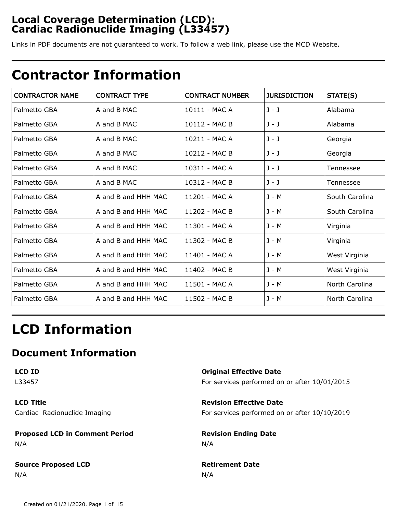### **Local Coverage Determination (LCD): Cardiac Radionuclide Imaging (L33457)**

Links in PDF documents are not guaranteed to work. To follow a web link, please use the MCD Website.

## **Contractor Information**

| <b>CONTRACTOR NAME</b> | <b>CONTRACT TYPE</b> | <b>CONTRACT NUMBER</b> | <b>JURISDICTION</b> | STATE(S)       |
|------------------------|----------------------|------------------------|---------------------|----------------|
| Palmetto GBA           | A and B MAC          | 10111 - MAC A          | $J - J$             | Alabama        |
| Palmetto GBA           | A and B MAC          | 10112 - MAC B          | $J - J$             | Alabama        |
| Palmetto GBA           | A and B MAC          | 10211 - MAC A          | J - J               | Georgia        |
| Palmetto GBA           | A and B MAC          | 10212 - MAC B          | $J - J$             | Georgia        |
| Palmetto GBA           | A and B MAC          | 10311 - MAC A          | $J - J$             | Tennessee      |
| Palmetto GBA           | A and B MAC          | $10312 - MACB$         | $J - J$             | Tennessee      |
| Palmetto GBA           | A and B and HHH MAC  | 11201 - MAC A          | J - M               | South Carolina |
| Palmetto GBA           | A and B and HHH MAC  | 11202 - MAC B          | $J - M$             | South Carolina |
| Palmetto GBA           | A and B and HHH MAC  | 11301 - MAC A          | J - M               | Virginia       |
| Palmetto GBA           | A and B and HHH MAC  | 11302 - MAC B          | $J - M$             | Virginia       |
| Palmetto GBA           | A and B and HHH MAC  | 11401 - MAC A          | $J - M$             | West Virginia  |
| Palmetto GBA           | A and B and HHH MAC  | 11402 - MAC B          | $J - M$             | West Virginia  |
| Palmetto GBA           | A and B and HHH MAC  | 11501 - MAC A          | $J - M$             | North Carolina |
| Palmetto GBA           | A and B and HHH MAC  | 11502 - MAC B          | J - M               | North Carolina |

# **LCD Information**

### **Document Information**

| LCD ID                                | <b>Original Effective Date</b>                |
|---------------------------------------|-----------------------------------------------|
| L33457                                | For services performed on or after 10/01/2015 |
| <b>LCD Title</b>                      | <b>Revision Effective Date</b>                |
| Cardiac Radionuclide Imaging          | For services performed on or after 10/10/2019 |
| <b>Proposed LCD in Comment Period</b> | <b>Revision Ending Date</b>                   |
| N/A                                   | N/A                                           |
| <b>Source Proposed LCD</b>            | <b>Retirement Date</b>                        |
| N/A                                   | N/A                                           |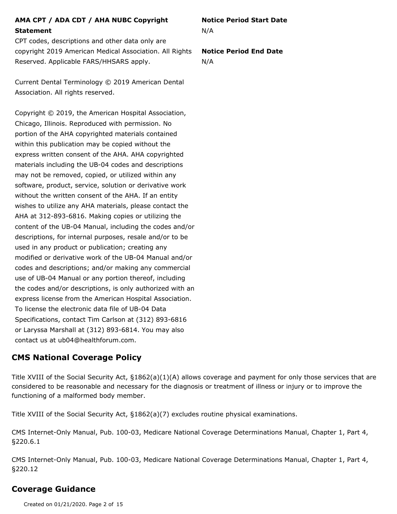### **AMA CPT / ADA CDT / AHA NUBC Copyright Statement**

CPT codes, descriptions and other data only are copyright 2019 American Medical Association. All Rights Reserved. Applicable FARS/HHSARS apply.

Current Dental Terminology © 2019 American Dental Association. All rights reserved.

Copyright © 2019, the American Hospital Association, Chicago, Illinois. Reproduced with permission. No portion of the AHA copyrighted materials contained within this publication may be copied without the express written consent of the AHA. AHA copyrighted materials including the UB-04 codes and descriptions may not be removed, copied, or utilized within any software, product, service, solution or derivative work without the written consent of the AHA. If an entity wishes to utilize any AHA materials, please contact the AHA at 312-893-6816. Making copies or utilizing the content of the UB-04 Manual, including the codes and/or descriptions, for internal purposes, resale and/or to be used in any product or publication; creating any modified or derivative work of the UB-04 Manual and/or codes and descriptions; and/or making any commercial use of UB-04 Manual or any portion thereof, including the codes and/or descriptions, is only authorized with an express license from the American Hospital Association. To license the electronic data file of UB-04 Data Specifications, contact Tim Carlson at (312) 893-6816 or Laryssa Marshall at (312) 893-6814. You may also contact us at ub04@healthforum.com.

### **CMS National Coverage Policy**

Title XVIII of the Social Security Act, §1862(a)(1)(A) allows coverage and payment for only those services that are considered to be reasonable and necessary for the diagnosis or treatment of illness or injury or to improve the functioning of a malformed body member.

Title XVIII of the Social Security Act, §1862(a)(7) excludes routine physical examinations.

CMS Internet-Only Manual, Pub. 100-03, Medicare National Coverage Determinations Manual, Chapter 1, Part 4, §220.6.1

CMS Internet-Only Manual, Pub. 100-03, Medicare National Coverage Determinations Manual, Chapter 1, Part 4, §220.12

### **Coverage Guidance**

Created on 01/21/2020. Page 2 of 15

**Notice Period Start Date** N/A

**Notice Period End Date** N/A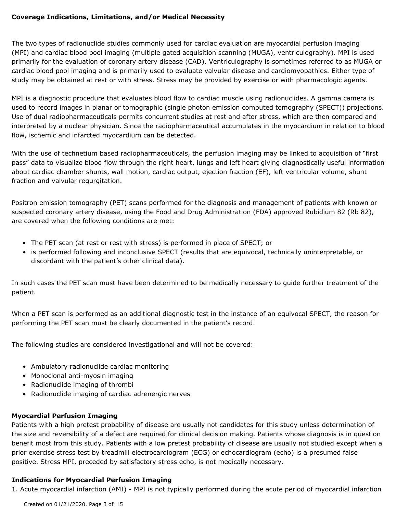### **Coverage Indications, Limitations, and/or Medical Necessity**

The two types of radionuclide studies commonly used for cardiac evaluation are myocardial perfusion imaging (MPI) and cardiac blood pool imaging (multiple gated acquisition scanning (MUGA), ventriculography). MPI is used primarily for the evaluation of coronary artery disease (CAD). Ventriculography is sometimes referred to as MUGA or cardiac blood pool imaging and is primarily used to evaluate valvular disease and cardiomyopathies. Either type of study may be obtained at rest or with stress. Stress may be provided by exercise or with pharmacologic agents.

MPI is a diagnostic procedure that evaluates blood flow to cardiac muscle using radionuclides. A gamma camera is used to record images in planar or tomographic (single photon emission computed tomography (SPECT)) projections. Use of dual radiopharmaceuticals permits concurrent studies at rest and after stress, which are then compared and interpreted by a nuclear physician. Since the radiopharmaceutical accumulates in the myocardium in relation to blood flow, ischemic and infarcted myocardium can be detected.

With the use of technetium based radiopharmaceuticals, the perfusion imaging may be linked to acquisition of "first pass" data to visualize blood flow through the right heart, lungs and left heart giving diagnostically useful information about cardiac chamber shunts, wall motion, cardiac output, ejection fraction (EF), left ventricular volume, shunt fraction and valvular regurgitation.

Positron emission tomography (PET) scans performed for the diagnosis and management of patients with known or suspected coronary artery disease, using the Food and Drug Administration (FDA) approved Rubidium 82 (Rb 82), are covered when the following conditions are met:

- The PET scan (at rest or rest with stress) is performed in place of SPECT; or
- is performed following and inconclusive SPECT (results that are equivocal, technically uninterpretable, or discordant with the patient's other clinical data).

In such cases the PET scan must have been determined to be medically necessary to guide further treatment of the patient.

When a PET scan is performed as an additional diagnostic test in the instance of an equivocal SPECT, the reason for performing the PET scan must be clearly documented in the patient's record.

The following studies are considered investigational and will not be covered:

- Ambulatory radionuclide cardiac monitoring
- Monoclonal anti-myosin imaging
- Radionuclide imaging of thrombi
- Radionuclide imaging of cardiac adrenergic nerves

### **Myocardial Perfusion Imaging**

Patients with a high pretest probability of disease are usually not candidates for this study unless determination of the size and reversibility of a defect are required for clinical decision making. Patients whose diagnosis is in question benefit most from this study. Patients with a low pretest probability of disease are usually not studied except when a prior exercise stress test by treadmill electrocardiogram (ECG) or echocardiogram (echo) is a presumed false positive. Stress MPI, preceded by satisfactory stress echo, is not medically necessary.

### **Indications for Myocardial Perfusion Imaging**

1. Acute myocardial infarction (AMI) - MPI is not typically performed during the acute period of myocardial infarction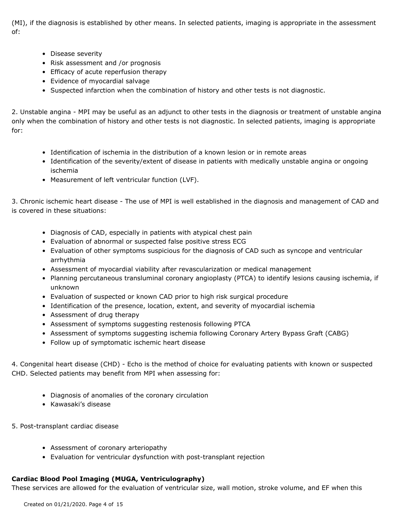(MI), if the diagnosis is established by other means. In selected patients, imaging is appropriate in the assessment of:

- Disease severity
- Risk assessment and /or prognosis
- Efficacy of acute reperfusion therapy
- Evidence of myocardial salvage
- Suspected infarction when the combination of history and other tests is not diagnostic.

2. Unstable angina - MPI may be useful as an adjunct to other tests in the diagnosis or treatment of unstable angina only when the combination of history and other tests is not diagnostic. In selected patients, imaging is appropriate for:

- Identification of ischemia in the distribution of a known lesion or in remote areas
- Identification of the severity/extent of disease in patients with medically unstable angina or ongoing ischemia
- Measurement of left ventricular function (LVF).

3. Chronic ischemic heart disease - The use of MPI is well established in the diagnosis and management of CAD and is covered in these situations:

- Diagnosis of CAD, especially in patients with atypical chest pain
- Evaluation of abnormal or suspected false positive stress ECG
- Evaluation of other symptoms suspicious for the diagnosis of CAD such as syncope and ventricular arrhythmia
- Assessment of myocardial viability after revascularization or medical management
- Planning percutaneous transluminal coronary angioplasty (PTCA) to identify lesions causing ischemia, if unknown
- Evaluation of suspected or known CAD prior to high risk surgical procedure
- Identification of the presence, location, extent, and severity of myocardial ischemia
- Assessment of drug therapy
- Assessment of symptoms suggesting restenosis following PTCA
- Assessment of symptoms suggesting ischemia following Coronary Artery Bypass Graft (CABG)
- Follow up of symptomatic ischemic heart disease

4. Congenital heart disease (CHD) - Echo is the method of choice for evaluating patients with known or suspected CHD. Selected patients may benefit from MPI when assessing for:

- Diagnosis of anomalies of the coronary circulation
- Kawasaki's disease
- 5. Post-transplant cardiac disease
	- Assessment of coronary arteriopathy
	- Evaluation for ventricular dysfunction with post-transplant rejection

### **Cardiac Blood Pool Imaging (MUGA, Ventriculography)**

These services are allowed for the evaluation of ventricular size, wall motion, stroke volume, and EF when this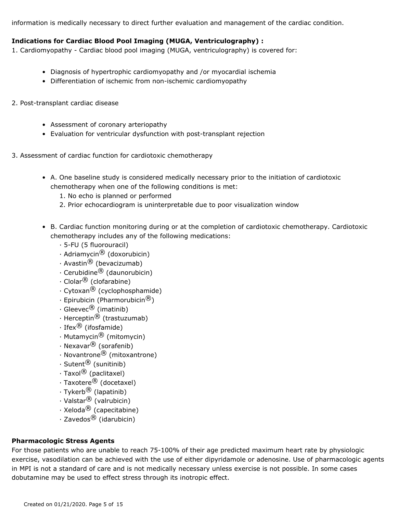information is medically necessary to direct further evaluation and management of the cardiac condition.

### **Indications for Cardiac Blood Pool Imaging (MUGA, Ventriculography) :**

1. Cardiomyopathy - Cardiac blood pool imaging (MUGA, ventriculography) is covered for:

- Diagnosis of hypertrophic cardiomyopathy and /or myocardial ischemia
- Differentiation of ischemic from non-ischemic cardiomyopathy
- 2. Post-transplant cardiac disease
	- Assessment of coronary arteriopathy
	- Evaluation for ventricular dysfunction with post-transplant rejection
- 3. Assessment of cardiac function for cardiotoxic chemotherapy
	- A. One baseline study is considered medically necessary prior to the initiation of cardiotoxic chemotherapy when one of the following conditions is met:
		- 1. No echo is planned or performed
		- 2. Prior echocardiogram is uninterpretable due to poor visualization window
	- B. Cardiac function monitoring during or at the completion of cardiotoxic chemotherapy. Cardiotoxic chemotherapy includes any of the following medications:
		- · 5-FU (5 fluorouracil)
		- $\cdot$  Adriamycin $\stackrel{\textcircled{\textcirc}}{ }$  (doxorubicin)
		- · Avastin<sup>®</sup> (bevacizumab)
		- · Cerubidine® (daunorubicin)
		- · Clolar<sup>®</sup> (clofarabine)
		- $\cdot$  Cytoxan $^{\circledR}$  (cyclophosphamide)
		- $\cdot$  Epirubicin (Pharmorubicin $^{\circledR}$ )
		- $\cdot$  Gleevec<sup>®</sup> (imatinib)
		- $\cdot$  Herceptin $^{\circledR}$  (trastuzumab)
		- · Ifex® (ifosfamide)
		- $\cdot$  Mutamycin $\overline{^{(8)}}$  (mitomycin)
		- · Nexavar<sup>®</sup> (sorafenib)
		- $\cdot$  Novantrone $^{\circledR}$  (mitoxantrone)
		- $\cdot$  Sutent $^{\circledR}$  (sunitinib)
		- · Taxol<sup>®</sup> (paclitaxel)
		- · Taxotere® (docetaxel)
		- · Tykerb® (lapatinib)
		- · Valstar<sup>®</sup> (valrubicin)
		- $\cdot$  Xeloda $^{\circledR}$  (capecitabine)
		- $\cdot$  Zavedos $^{\circledR}$  (idarubicin)

### **Pharmacologic Stress Agents**

For those patients who are unable to reach 75-100% of their age predicted maximum heart rate by physiologic exercise, vasodilation can be achieved with the use of either dipyridamole or adenosine. Use of pharmacologic agents in MPI is not a standard of care and is not medically necessary unless exercise is not possible. In some cases dobutamine may be used to effect stress through its inotropic effect.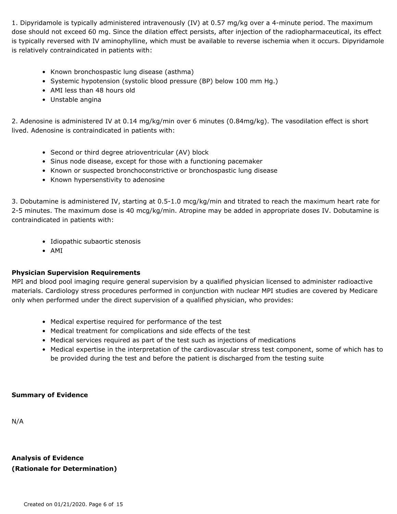1. Dipyridamole is typically administered intravenously (IV) at 0.57 mg/kg over a 4-minute period. The maximum dose should not exceed 60 mg. Since the dilation effect persists, after injection of the radiopharmaceutical, its effect is typically reversed with IV aminophylline, which must be available to reverse ischemia when it occurs. Dipyridamole is relatively contraindicated in patients with:

- Known bronchospastic lung disease (asthma)
- Systemic hypotension (systolic blood pressure (BP) below 100 mm Hg.)
- AMI less than 48 hours old
- Unstable angina

2. Adenosine is administered IV at 0.14 mg/kg/min over 6 minutes (0.84mg/kg). The vasodilation effect is short lived. Adenosine is contraindicated in patients with:

- Second or third degree atrioventricular (AV) block
- Sinus node disease, except for those with a functioning pacemaker
- Known or suspected bronchoconstrictive or bronchospastic lung disease
- Known hypersenstivity to adenosine

3. Dobutamine is administered IV, starting at 0.5-1.0 mcg/kg/min and titrated to reach the maximum heart rate for 2-5 minutes. The maximum dose is 40 mcg/kg/min. Atropine may be added in appropriate doses IV. Dobutamine is contraindicated in patients with:

- Idiopathic subaortic stenosis
- AMI

### **Physician Supervision Requirements**

MPI and blood pool imaging require general supervision by a qualified physician licensed to administer radioactive materials. Cardiology stress procedures performed in conjunction with nuclear MPI studies are covered by Medicare only when performed under the direct supervision of a qualified physician, who provides:

- Medical expertise required for performance of the test
- Medical treatment for complications and side effects of the test
- Medical services required as part of the test such as injections of medications
- Medical expertise in the interpretation of the cardiovascular stress test component, some of which has to be provided during the test and before the patient is discharged from the testing suite

### **Summary of Evidence**

N/A

**Analysis of Evidence (Rationale for Determination)**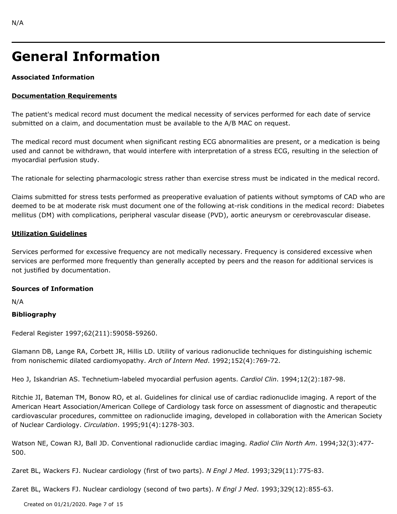## **General Information**

### **Associated Information**

### **Documentation Requirements**

The patient's medical record must document the medical necessity of services performed for each date of service submitted on a claim, and documentation must be available to the A/B MAC on request.

The medical record must document when significant resting ECG abnormalities are present, or a medication is being used and cannot be withdrawn, that would interfere with interpretation of a stress ECG, resulting in the selection of myocardial perfusion study.

The rationale for selecting pharmacologic stress rather than exercise stress must be indicated in the medical record.

Claims submitted for stress tests performed as preoperative evaluation of patients without symptoms of CAD who are deemed to be at moderate risk must document one of the following at-risk conditions in the medical record: Diabetes mellitus (DM) with complications, peripheral vascular disease (PVD), aortic aneurysm or cerebrovascular disease.

### **Utilization Guidelines**

Services performed for excessive frequency are not medically necessary. Frequency is considered excessive when services are performed more frequently than generally accepted by peers and the reason for additional services is not justified by documentation.

### **Sources of Information**

N/A

### **Bibliography**

Federal Register 1997;62(211):59058-59260.

Glamann DB, Lange RA, Corbett JR, Hillis LD. Utility of various radionuclide techniques for distinguishing ischemic from nonischemic dilated cardiomyopathy. *Arch of Intern Med*. 1992;152(4):769-72.

Heo J, Iskandrian AS. Technetium-labeled myocardial perfusion agents. *Cardiol Clin*. 1994;12(2):187-98.

Ritchie JI, Bateman TM, Bonow RO, et al. Guidelines for clinical use of cardiac radionuclide imaging. A report of the American Heart Association/American College of Cardiology task force on assessment of diagnostic and therapeutic cardiovascular procedures, committee on radionuclide imaging, developed in collaboration with the American Society of Nuclear Cardiology. *Circulation*. 1995;91(4):1278-303.

Watson NE, Cowan RJ, Ball JD. Conventional radionuclide cardiac imaging. *Radiol Clin North Am*. 1994;32(3):477- 500.

Zaret BL, Wackers FJ. Nuclear cardiology (first of two parts). *N Engl J Med*. 1993;329(11):775-83.

Zaret BL, Wackers FJ. Nuclear cardiology (second of two parts). *N Engl J Med*. 1993;329(12):855-63.

Created on 01/21/2020. Page 7 of 15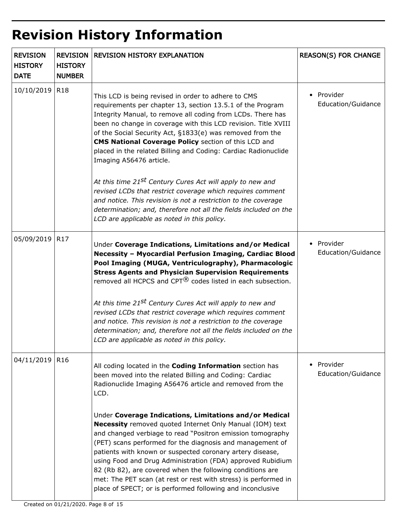# **Revision History Information**

| <b>REVISION</b><br><b>HISTORY</b><br><b>DATE</b> | <b>REVISION</b><br><b>HISTORY</b><br><b>NUMBER</b> | <b>REVISION HISTORY EXPLANATION</b>                                                                                                                                                                                                                                                                                                                                                                                                                                                                                                                                                                                                                                                                                                                                                              | <b>REASON(S) FOR CHANGE</b>      |
|--------------------------------------------------|----------------------------------------------------|--------------------------------------------------------------------------------------------------------------------------------------------------------------------------------------------------------------------------------------------------------------------------------------------------------------------------------------------------------------------------------------------------------------------------------------------------------------------------------------------------------------------------------------------------------------------------------------------------------------------------------------------------------------------------------------------------------------------------------------------------------------------------------------------------|----------------------------------|
| 10/10/2019                                       | R <sub>18</sub>                                    | This LCD is being revised in order to adhere to CMS<br>requirements per chapter 13, section 13.5.1 of the Program<br>Integrity Manual, to remove all coding from LCDs. There has<br>been no change in coverage with this LCD revision. Title XVIII<br>of the Social Security Act, §1833(e) was removed from the<br>CMS National Coverage Policy section of this LCD and<br>placed in the related Billing and Coding: Cardiac Radionuclide<br>Imaging A56476 article.<br>At this time 21 <sup>st</sup> Century Cures Act will apply to new and<br>revised LCDs that restrict coverage which requires comment<br>and notice. This revision is not a restriction to the coverage<br>determination; and, therefore not all the fields included on the<br>LCD are applicable as noted in this policy. | • Provider<br>Education/Guidance |
| 05/09/2019                                       | R <sub>17</sub>                                    | Under Coverage Indications, Limitations and/or Medical<br>Necessity - Myocardial Perfusion Imaging, Cardiac Blood<br>Pool Imaging (MUGA, Ventriculography), Pharmacologic<br><b>Stress Agents and Physician Supervision Requirements</b><br>removed all HCPCS and CPT <sup>®</sup> codes listed in each subsection.<br>At this time 21 <sup>st</sup> Century Cures Act will apply to new and<br>revised LCDs that restrict coverage which requires comment<br>and notice. This revision is not a restriction to the coverage<br>determination; and, therefore not all the fields included on the<br>LCD are applicable as noted in this policy.                                                                                                                                                  | • Provider<br>Education/Guidance |
| 04/11/2019                                       | R <sub>16</sub>                                    | All coding located in the <b>Coding Information</b> section has<br>been moved into the related Billing and Coding: Cardiac<br>Radionuclide Imaging A56476 article and removed from the<br>LCD.<br>Under Coverage Indications, Limitations and/or Medical<br>Necessity removed quoted Internet Only Manual (IOM) text<br>and changed verbiage to read "Positron emission tomography<br>(PET) scans performed for the diagnosis and management of<br>patients with known or suspected coronary artery disease,<br>using Food and Drug Administration (FDA) approved Rubidium<br>82 (Rb 82), are covered when the following conditions are<br>met: The PET scan (at rest or rest with stress) is performed in<br>place of SPECT; or is performed following and inconclusive                         | • Provider<br>Education/Guidance |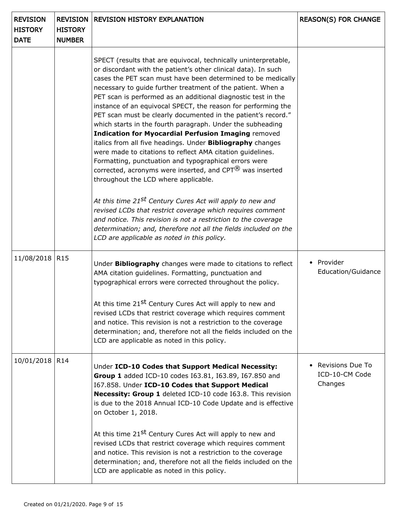| <b>REVISION</b><br><b>HISTORY</b><br><b>DATE</b> | <b>REVISION</b><br><b>HISTORY</b><br><b>NUMBER</b> | <b>REVISION HISTORY EXPLANATION</b>                                                                                                                                                                                                                                                                                                                                                                                                                                                                                                                                                                                                                                                                                                                                                                                                                                                                    | <b>REASON(S) FOR CHANGE</b>                   |
|--------------------------------------------------|----------------------------------------------------|--------------------------------------------------------------------------------------------------------------------------------------------------------------------------------------------------------------------------------------------------------------------------------------------------------------------------------------------------------------------------------------------------------------------------------------------------------------------------------------------------------------------------------------------------------------------------------------------------------------------------------------------------------------------------------------------------------------------------------------------------------------------------------------------------------------------------------------------------------------------------------------------------------|-----------------------------------------------|
|                                                  |                                                    | SPECT (results that are equivocal, technically uninterpretable,<br>or discordant with the patient's other clinical data). In such<br>cases the PET scan must have been determined to be medically<br>necessary to guide further treatment of the patient. When a<br>PET scan is performed as an additional diagnostic test in the<br>instance of an equivocal SPECT, the reason for performing the<br>PET scan must be clearly documented in the patient's record."<br>which starts in the fourth paragraph. Under the subheading<br><b>Indication for Myocardial Perfusion Imaging removed</b><br>italics from all five headings. Under <b>Bibliography</b> changes<br>were made to citations to reflect AMA citation guidelines.<br>Formatting, punctuation and typographical errors were<br>corrected, acronyms were inserted, and $CPT^{(8)}$ was inserted<br>throughout the LCD where applicable. |                                               |
|                                                  |                                                    | At this time 21 <sup>st</sup> Century Cures Act will apply to new and<br>revised LCDs that restrict coverage which requires comment<br>and notice. This revision is not a restriction to the coverage<br>determination; and, therefore not all the fields included on the<br>LCD are applicable as noted in this policy.                                                                                                                                                                                                                                                                                                                                                                                                                                                                                                                                                                               |                                               |
| 11/08/2018                                       | R <sub>15</sub>                                    | Under Bibliography changes were made to citations to reflect<br>AMA citation guidelines. Formatting, punctuation and<br>typographical errors were corrected throughout the policy.<br>At this time 21 <sup>st</sup> Century Cures Act will apply to new and<br>revised LCDs that restrict coverage which requires comment<br>and notice. This revision is not a restriction to the coverage<br>determination; and, therefore not all the fields included on the<br>LCD are applicable as noted in this policy.                                                                                                                                                                                                                                                                                                                                                                                         | • Provider<br>Education/Guidance              |
| 10/01/2018                                       | R <sub>14</sub>                                    | Under ICD-10 Codes that Support Medical Necessity:<br>Group 1 added ICD-10 codes I63.81, I63.89, I67.850 and<br>167.858. Under ICD-10 Codes that Support Medical<br>Necessity: Group 1 deleted ICD-10 code I63.8. This revision<br>is due to the 2018 Annual ICD-10 Code Update and is effective<br>on October 1, 2018.<br>At this time 21 <sup>st</sup> Century Cures Act will apply to new and<br>revised LCDs that restrict coverage which requires comment<br>and notice. This revision is not a restriction to the coverage<br>determination; and, therefore not all the fields included on the<br>LCD are applicable as noted in this policy.                                                                                                                                                                                                                                                    | Revisions Due To<br>ICD-10-CM Code<br>Changes |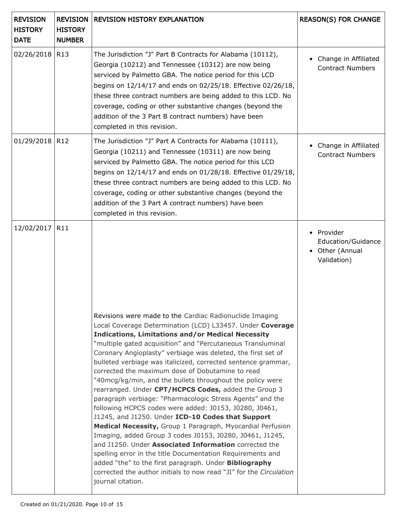| <b>REVISION</b><br><b>HISTORY</b><br><b>DATE</b> | <b>REVISION</b><br><b>HISTORY</b><br><b>NUMBER</b> | <b>REVISION HISTORY EXPLANATION</b>                                                                                                                                                                                                                                                                                                                                                                                                                                                                                                                                                                                                                                                                                                                                                                                                                                                                                                                                                    | <b>REASON(S) FOR CHANGE</b>                                      |
|--------------------------------------------------|----------------------------------------------------|----------------------------------------------------------------------------------------------------------------------------------------------------------------------------------------------------------------------------------------------------------------------------------------------------------------------------------------------------------------------------------------------------------------------------------------------------------------------------------------------------------------------------------------------------------------------------------------------------------------------------------------------------------------------------------------------------------------------------------------------------------------------------------------------------------------------------------------------------------------------------------------------------------------------------------------------------------------------------------------|------------------------------------------------------------------|
| 02/26/2018                                       | R <sub>13</sub>                                    | The Jurisdiction "J" Part B Contracts for Alabama (10112),<br>Georgia (10212) and Tennessee (10312) are now being<br>serviced by Palmetto GBA. The notice period for this LCD<br>begins on 12/14/17 and ends on 02/25/18. Effective 02/26/18,<br>these three contract numbers are being added to this LCD. No<br>coverage, coding or other substantive changes (beyond the<br>addition of the 3 Part B contract numbers) have been<br>completed in this revision.                                                                                                                                                                                                                                                                                                                                                                                                                                                                                                                      | Change in Affiliated<br><b>Contract Numbers</b>                  |
| 01/29/2018                                       | R <sub>12</sub>                                    | The Jurisdiction "J" Part A Contracts for Alabama (10111),<br>Georgia (10211) and Tennessee (10311) are now being<br>serviced by Palmetto GBA. The notice period for this LCD<br>begins on 12/14/17 and ends on 01/28/18. Effective 01/29/18,<br>these three contract numbers are being added to this LCD. No<br>coverage, coding or other substantive changes (beyond the<br>addition of the 3 Part A contract numbers) have been<br>completed in this revision.                                                                                                                                                                                                                                                                                                                                                                                                                                                                                                                      | Change in Affiliated<br><b>Contract Numbers</b>                  |
| 12/02/2017                                       | R11                                                | Revisions were made to the Cardiac Radionuclide Imaging<br>Local Coverage Determination (LCD) L33457. Under Coverage<br><b>Indications, Limitations and/or Medical Necessity</b><br>"multiple gated acquisition" and "Percutaneous Transluminal<br>Coronary Angioplasty" verbiage was deleted, the first set of<br>bulleted verbiage was italicized, corrected sentence grammar,<br>corrected the maximum dose of Dobutamine to read<br>"40mcg/kg/min, and the bullets throughout the policy were<br>rearranged. Under CPT/HCPCS Codes, added the Group 3<br>paragraph verbiage: "Pharmacologic Stress Agents" and the<br>following HCPCS codes were added: J0153, J0280, J0461,<br>J1245, and J1250. Under ICD-10 Codes that Support<br>Medical Necessity, Group 1 Paragraph, Myocardial Perfusion<br>Imaging, added Group 3 codes J0153, J0280, J0461, J1245,<br>and J1250. Under Associated Information corrected the<br>spelling error in the title Documentation Requirements and | • Provider<br>Education/Guidance<br>Other (Annual<br>Validation) |
|                                                  |                                                    | added "the" to the first paragraph. Under Bibliography<br>corrected the author initials to now read "JI" for the Circulation<br>journal citation.                                                                                                                                                                                                                                                                                                                                                                                                                                                                                                                                                                                                                                                                                                                                                                                                                                      |                                                                  |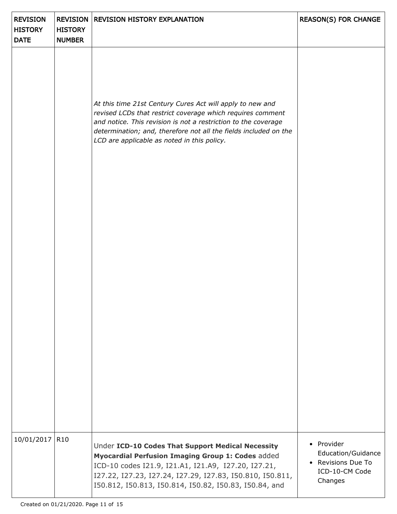| <b>REVISION</b><br><b>HISTORY</b><br><b>DATE</b> | <b>HISTORY</b><br><b>NUMBER</b> | <b>REVISION   REVISION HISTORY EXPLANATION</b>                                                                                                                                                                                                                                                               | <b>REASON(S) FOR CHANGE</b>                                                         |
|--------------------------------------------------|---------------------------------|--------------------------------------------------------------------------------------------------------------------------------------------------------------------------------------------------------------------------------------------------------------------------------------------------------------|-------------------------------------------------------------------------------------|
|                                                  |                                 | At this time 21st Century Cures Act will apply to new and<br>revised LCDs that restrict coverage which requires comment<br>and notice. This revision is not a restriction to the coverage<br>determination; and, therefore not all the fields included on the<br>LCD are applicable as noted in this policy. |                                                                                     |
|                                                  |                                 |                                                                                                                                                                                                                                                                                                              |                                                                                     |
| 10/01/2017                                       | R <sub>10</sub>                 | Under ICD-10 Codes That Support Medical Necessity<br>Myocardial Perfusion Imaging Group 1: Codes added<br>ICD-10 codes I21.9, I21.A1, I21.A9, I27.20, I27.21,<br>I27.22, I27.23, I27.24, I27.29, I27.83, I50.810, I50.811,<br>I50.812, I50.813, I50.814, I50.82, I50.83, I50.84, and                         | • Provider<br>Education/Guidance<br>• Revisions Due To<br>ICD-10-CM Code<br>Changes |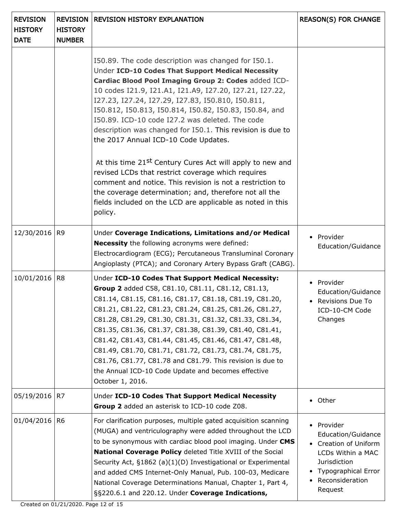| <b>REVISION</b><br><b>HISTORY</b><br><b>DATE</b> | <b>REVISION</b><br><b>HISTORY</b><br><b>NUMBER</b> | <b>REVISION HISTORY EXPLANATION</b>                                                                                                                                                                                                                                                                                                                                                                                                                                                                                                                                                                                 | <b>REASON(S) FOR CHANGE</b>                                                                                                                         |
|--------------------------------------------------|----------------------------------------------------|---------------------------------------------------------------------------------------------------------------------------------------------------------------------------------------------------------------------------------------------------------------------------------------------------------------------------------------------------------------------------------------------------------------------------------------------------------------------------------------------------------------------------------------------------------------------------------------------------------------------|-----------------------------------------------------------------------------------------------------------------------------------------------------|
|                                                  |                                                    | 150.89. The code description was changed for 150.1.<br>Under ICD-10 Codes That Support Medical Necessity<br>Cardiac Blood Pool Imaging Group 2: Codes added ICD-<br>10 codes I21.9, I21.A1, I21.A9, I27.20, I27.21, I27.22,<br>I27.23, I27.24, I27.29, I27.83, I50.810, I50.811,<br>I50.812, I50.813, I50.814, I50.82, I50.83, I50.84, and<br>I50.89. ICD-10 code I27.2 was deleted. The code<br>description was changed for I50.1. This revision is due to<br>the 2017 Annual ICD-10 Code Updates.                                                                                                                 |                                                                                                                                                     |
|                                                  |                                                    | At this time 21 <sup>st</sup> Century Cures Act will apply to new and<br>revised LCDs that restrict coverage which requires<br>comment and notice. This revision is not a restriction to<br>the coverage determination; and, therefore not all the<br>fields included on the LCD are applicable as noted in this<br>policy.                                                                                                                                                                                                                                                                                         |                                                                                                                                                     |
| 12/30/2016                                       | R <sub>9</sub>                                     | Under Coverage Indications, Limitations and/or Medical<br><b>Necessity</b> the following acronyms were defined:<br>Electrocardiogram (ECG); Percutaneous Transluminal Coronary<br>Angioplasty (PTCA); and Coronary Artery Bypass Graft (CABG).                                                                                                                                                                                                                                                                                                                                                                      | • Provider<br>Education/Guidance                                                                                                                    |
| 10/01/2016                                       | R <sub>8</sub>                                     | Under ICD-10 Codes That Support Medical Necessity:<br>Group 2 added C58, C81.10, C81.11, C81.12, C81.13,<br>C81.14, C81.15, C81.16, C81.17, C81.18, C81.19, C81.20,<br>C81.21, C81.22, C81.23, C81.24, C81.25, C81.26, C81.27,<br>C81.28, C81.29, C81.30, C81.31, C81.32, C81.33, C81.34,<br>C81.35, C81.36, C81.37, C81.38, C81.39, C81.40, C81.41,<br>C81.42, C81.43, C81.44, C81.45, C81.46, C81.47, C81.48,<br>C81.49, C81.70, C81.71, C81.72, C81.73, C81.74, C81.75,<br>C81.76, C81.77, C81.78 and C81.79. This revision is due to<br>the Annual ICD-10 Code Update and becomes effective<br>October 1, 2016. | • Provider<br>Education/Guidance<br>$\bullet$ - Revisions Due To -<br>ICD-10-CM Code<br>Changes                                                     |
| 05/19/2016                                       | R7                                                 | Under ICD-10 Codes That Support Medical Necessity<br>Group 2 added an asterisk to ICD-10 code Z08.                                                                                                                                                                                                                                                                                                                                                                                                                                                                                                                  | • Other                                                                                                                                             |
| 01/04/2016                                       | R <sub>6</sub>                                     | For clarification purposes, multiple gated acquisition scanning<br>(MUGA) and ventriculography were added throughout the LCD<br>to be synonymous with cardiac blood pool imaging. Under CMS<br>National Coverage Policy deleted Title XVIII of the Social<br>Security Act, §1862 (a)(1)(D) Investigational or Experimental<br>and added CMS Internet-Only Manual, Pub. 100-03, Medicare<br>National Coverage Determinations Manual, Chapter 1, Part 4,<br>§§220.6.1 and 220.12. Under Coverage Indications,                                                                                                         | • Provider<br>Education/Guidance<br>• Creation of Uniform<br>LCDs Within a MAC<br>Jurisdiction<br>Typographical Error<br>Reconsideration<br>Request |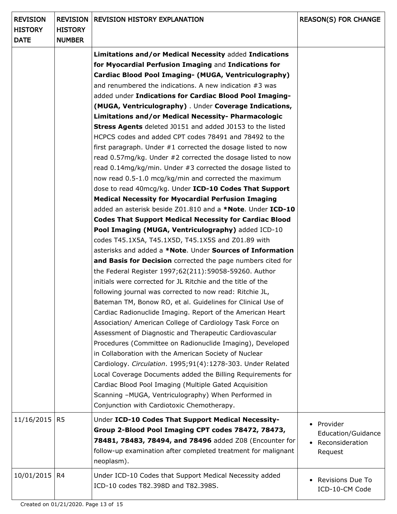| <b>REVISION</b><br><b>HISTORY</b><br><b>DATE</b> | <b>HISTORY</b><br><b>NUMBER</b> | <b>REVISION   REVISION HISTORY EXPLANATION</b>                                                                                                                                                                                                                                                                                                                                                                                                                                                                                                                                                                                                                                                                                                                                                                                                                                                                                                                                                                                                                                                                                                                                                                                  | <b>REASON(S) FOR CHANGE</b>                                    |
|--------------------------------------------------|---------------------------------|---------------------------------------------------------------------------------------------------------------------------------------------------------------------------------------------------------------------------------------------------------------------------------------------------------------------------------------------------------------------------------------------------------------------------------------------------------------------------------------------------------------------------------------------------------------------------------------------------------------------------------------------------------------------------------------------------------------------------------------------------------------------------------------------------------------------------------------------------------------------------------------------------------------------------------------------------------------------------------------------------------------------------------------------------------------------------------------------------------------------------------------------------------------------------------------------------------------------------------|----------------------------------------------------------------|
|                                                  |                                 | Limitations and/or Medical Necessity added Indications<br>for Myocardial Perfusion Imaging and Indications for<br>Cardiac Blood Pool Imaging- (MUGA, Ventriculography)<br>and renumbered the indications. A new indication #3 was<br>added under Indications for Cardiac Blood Pool Imaging-<br>(MUGA, Ventriculography) . Under Coverage Indications,<br>Limitations and/or Medical Necessity- Pharmacologic<br><b>Stress Agents</b> deleted J0151 and added J0153 to the listed<br>HCPCS codes and added CPT codes 78491 and 78492 to the<br>first paragraph. Under #1 corrected the dosage listed to now<br>read 0.57mg/kg. Under #2 corrected the dosage listed to now<br>read 0.14mg/kg/min. Under #3 corrected the dosage listed to<br>now read 0.5-1.0 mcg/kg/min and corrected the maximum<br>dose to read 40mcg/kg. Under ICD-10 Codes That Support<br><b>Medical Necessity for Myocardial Perfusion Imaging</b>                                                                                                                                                                                                                                                                                                       |                                                                |
|                                                  |                                 | added an asterisk beside Z01.810 and a *Note. Under ICD-10<br><b>Codes That Support Medical Necessity for Cardiac Blood</b><br>Pool Imaging (MUGA, Ventriculography) added ICD-10<br>codes T45.1X5A, T45.1X5D, T45.1X5S and Z01.89 with<br>asterisks and added a *Note. Under Sources of Information<br>and Basis for Decision corrected the page numbers cited for<br>the Federal Register 1997;62(211):59058-59260. Author<br>initials were corrected for JL Ritchie and the title of the<br>following journal was corrected to now read: Ritchie JL,<br>Bateman TM, Bonow RO, et al. Guidelines for Clinical Use of<br>Cardiac Radionuclide Imaging. Report of the American Heart<br>Association/ American College of Cardiology Task Force on<br>Assessment of Diagnostic and Therapeutic Cardiovascular<br>Procedures (Committee on Radionuclide Imaging), Developed<br>in Collaboration with the American Society of Nuclear<br>Cardiology. Circulation. 1995;91(4):1278-303. Under Related<br>Local Coverage Documents added the Billing Requirements for<br>Cardiac Blood Pool Imaging (Multiple Gated Acquisition<br>Scanning -MUGA, Ventriculography) When Performed in<br>Conjunction with Cardiotoxic Chemotherapy. |                                                                |
| 11/16/2015                                       | R <sub>5</sub>                  | Under ICD-10 Codes That Support Medical Necessity-<br>Group 2-Blood Pool Imaging CPT codes 78472, 78473,<br>78481, 78483, 78494, and 78496 added Z08 (Encounter for<br>follow-up examination after completed treatment for malignant<br>neoplasm).                                                                                                                                                                                                                                                                                                                                                                                                                                                                                                                                                                                                                                                                                                                                                                                                                                                                                                                                                                              | • Provider<br>Education/Guidance<br>Reconsideration<br>Request |
| 10/01/2015                                       | R4                              | Under ICD-10 Codes that Support Medical Necessity added<br>ICD-10 codes T82.398D and T82.398S.                                                                                                                                                                                                                                                                                                                                                                                                                                                                                                                                                                                                                                                                                                                                                                                                                                                                                                                                                                                                                                                                                                                                  | Revisions Due To<br>ICD-10-CM Code                             |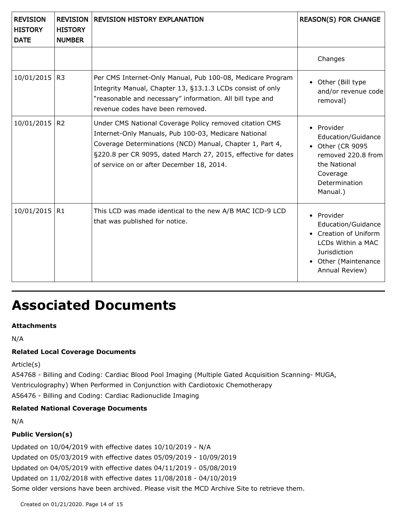| <b>REVISION</b><br><b>HISTORY</b><br><b>DATE</b> | <b>REVISION</b><br><b>HISTORY</b><br><b>NUMBER</b> | <b>REVISION HISTORY EXPLANATION</b>                                                                                                                                                                                                                                                       | <b>REASON(S) FOR CHANGE</b>                                                                                                            |
|--------------------------------------------------|----------------------------------------------------|-------------------------------------------------------------------------------------------------------------------------------------------------------------------------------------------------------------------------------------------------------------------------------------------|----------------------------------------------------------------------------------------------------------------------------------------|
|                                                  |                                                    |                                                                                                                                                                                                                                                                                           | Changes                                                                                                                                |
| 10/01/2015                                       | R <sub>3</sub>                                     | Per CMS Internet-Only Manual, Pub 100-08, Medicare Program<br>Integrity Manual, Chapter 13, §13.1.3 LCDs consist of only<br>"reasonable and necessary" information. All bill type and<br>revenue codes have been removed.                                                                 | • Other (Bill type<br>and/or revenue code<br>removal)                                                                                  |
| 10/01/2015                                       | R <sub>2</sub>                                     | Under CMS National Coverage Policy removed citation CMS<br>Internet-Only Manuals, Pub 100-03, Medicare National<br>Coverage Determinations (NCD) Manual, Chapter 1, Part 4,<br>§220.8 per CR 9095, dated March 27, 2015, effective for dates<br>of service on or after December 18, 2014. | • Provider<br>Education/Guidance<br>• Other (CR 9095<br>removed 220.8 from<br>the National<br>Coverage<br>Determination<br>Manual.)    |
| 10/01/2015                                       | R1                                                 | This LCD was made identical to the new A/B MAC ICD-9 LCD<br>that was published for notice.                                                                                                                                                                                                | • Provider<br>Education/Guidance<br>• Creation of Uniform<br>LCDs Within a MAC<br>Jurisdiction<br>Other (Maintenance<br>Annual Review) |

### **Associated Documents**

### **Attachments**

N/A

### **Related Local Coverage Documents**

Article(s)

A54768 - Billing and Coding: Cardiac Blood Pool Imaging (Multiple Gated Acquisition Scanning- MUGA, Ventriculography) When Performed in Conjunction with Cardiotoxic Chemotherapy A56476 - Billing and Coding: Cardiac Radionuclide Imaging

### **Related National Coverage Documents**

N/A

### **Public Version(s)**

Updated on 10/04/2019 with effective dates 10/10/2019 - N/A Updated on 05/03/2019 with effective dates 05/09/2019 - 10/09/2019 Updated on 04/05/2019 with effective dates 04/11/2019 - 05/08/2019 Updated on 11/02/2018 with effective dates 11/08/2018 - 04/10/2019 Some older versions have been archived. Please visit the MCD Archive Site to retrieve them.